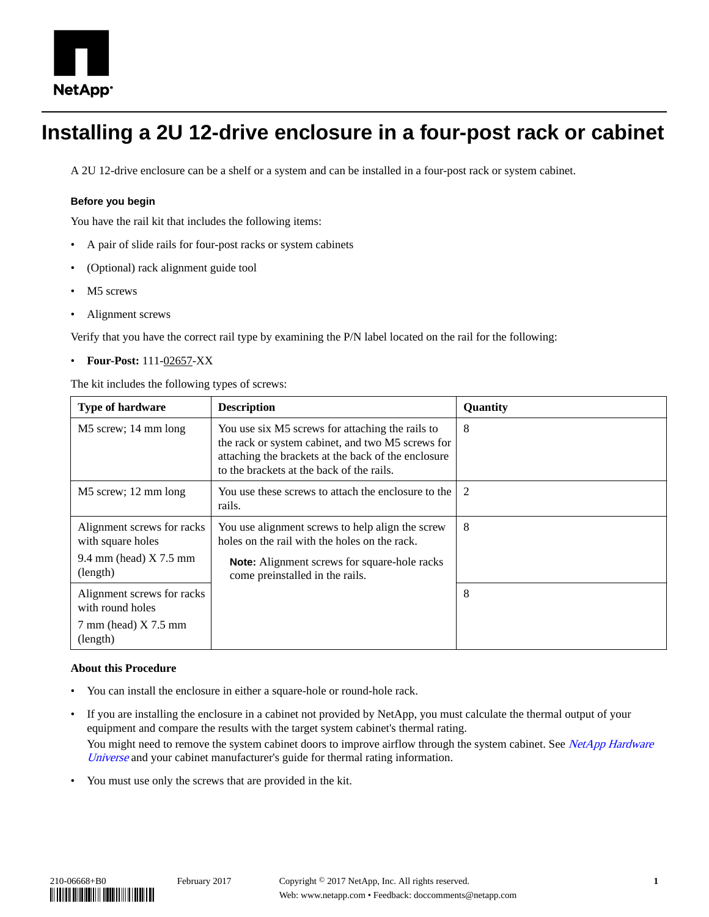

# **Installing a 2U 12-drive enclosure in a four-post rack or cabinet**

A 2U 12-drive enclosure can be a shelf or a system and can be installed in a four-post rack or system cabinet.

### **Before you begin**

You have the rail kit that includes the following items:

- A pair of slide rails for four-post racks or system cabinets
- (Optional) rack alignment guide tool
- M<sub>5</sub> screws
- Alignment screws

Verify that you have the correct rail type by examining the P/N label located on the rail for the following:

• **Four-Post:** 111-02657-XX

The kit includes the following types of screws:

| <b>Type of hardware</b>                              | <b>Description</b>                                                                                                                                                                                        | Quantity |
|------------------------------------------------------|-----------------------------------------------------------------------------------------------------------------------------------------------------------------------------------------------------------|----------|
| M5 screw; 14 mm long                                 | You use six M5 screws for attaching the rails to<br>the rack or system cabinet, and two M5 screws for<br>attaching the brackets at the back of the enclosure<br>to the brackets at the back of the rails. | 8        |
| M5 screw; 12 mm long                                 | You use these screws to attach the enclosure to the<br>rails.                                                                                                                                             | 2        |
| Alignment screws for racks<br>with square holes      | You use alignment screws to help align the screw<br>holes on the rail with the holes on the rack.                                                                                                         | 8        |
| 9.4 mm (head) $X$ 7.5 mm<br>(length)                 | <b>Note:</b> Alignment screws for square-hole racks<br>come preinstalled in the rails.                                                                                                                    |          |
| Alignment screws for racks<br>with round holes       |                                                                                                                                                                                                           | 8        |
| $7 \text{ mm}$ (head) $X 7.5 \text{ mm}$<br>(length) |                                                                                                                                                                                                           |          |

### **About this Procedure**

- You can install the enclosure in either a square-hole or round-hole rack.
- If you are installing the enclosure in a cabinet not provided by NetApp, you must calculate the thermal output of your equipment and compare the results with the target system cabinet's thermal rating. You might need to remove the system cabinet doors to improve airflow through the system cabinet. See [NetApp Hardware](https://hwu.netapp.com) [Universe](https://hwu.netapp.com) and your cabinet manufacturer's guide for thermal rating information.
- You must use only the screws that are provided in the kit.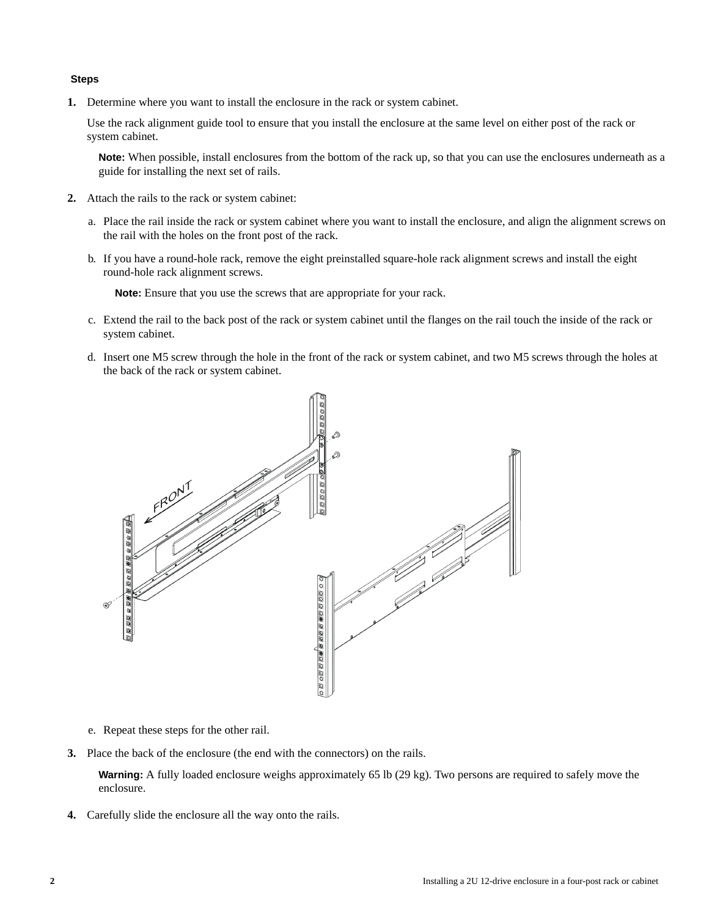### **Steps**

**1.** Determine where you want to install the enclosure in the rack or system cabinet.

Use the rack alignment guide tool to ensure that you install the enclosure at the same level on either post of the rack or system cabinet.

**Note:** When possible, install enclosures from the bottom of the rack up, so that you can use the enclosures underneath as a guide for installing the next set of rails.

- **2.** Attach the rails to the rack or system cabinet:
	- a. Place the rail inside the rack or system cabinet where you want to install the enclosure, and align the alignment screws on the rail with the holes on the front post of the rack.
	- b. If you have a round-hole rack, remove the eight preinstalled square-hole rack alignment screws and install the eight round-hole rack alignment screws.

**Note:** Ensure that you use the screws that are appropriate for your rack.

- c. Extend the rail to the back post of the rack or system cabinet until the flanges on the rail touch the inside of the rack or system cabinet.
- d. Insert one M5 screw through the hole in the front of the rack or system cabinet, and two M5 screws through the holes at the back of the rack or system cabinet.



- e. Repeat these steps for the other rail.
- **3.** Place the back of the enclosure (the end with the connectors) on the rails.

**Warning:** A fully loaded enclosure weighs approximately 65 lb (29 kg). Two persons are required to safely move the enclosure.

**4.** Carefully slide the enclosure all the way onto the rails.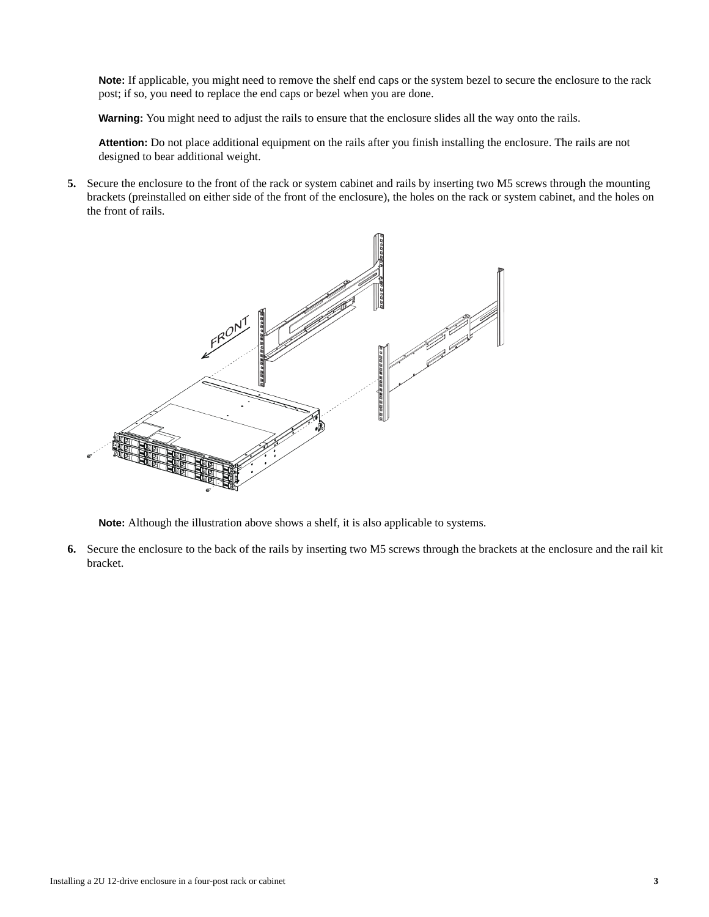**Note:** If applicable, you might need to remove the shelf end caps or the system bezel to secure the enclosure to the rack post; if so, you need to replace the end caps or bezel when you are done.

**Warning:** You might need to adjust the rails to ensure that the enclosure slides all the way onto the rails.

**Attention:** Do not place additional equipment on the rails after you finish installing the enclosure. The rails are not designed to bear additional weight.

**5.** Secure the enclosure to the front of the rack or system cabinet and rails by inserting two M5 screws through the mounting brackets (preinstalled on either side of the front of the enclosure), the holes on the rack or system cabinet, and the holes on the front of rails.



**Note:** Although the illustration above shows a shelf, it is also applicable to systems.

**6.** Secure the enclosure to the back of the rails by inserting two M5 screws through the brackets at the enclosure and the rail kit bracket.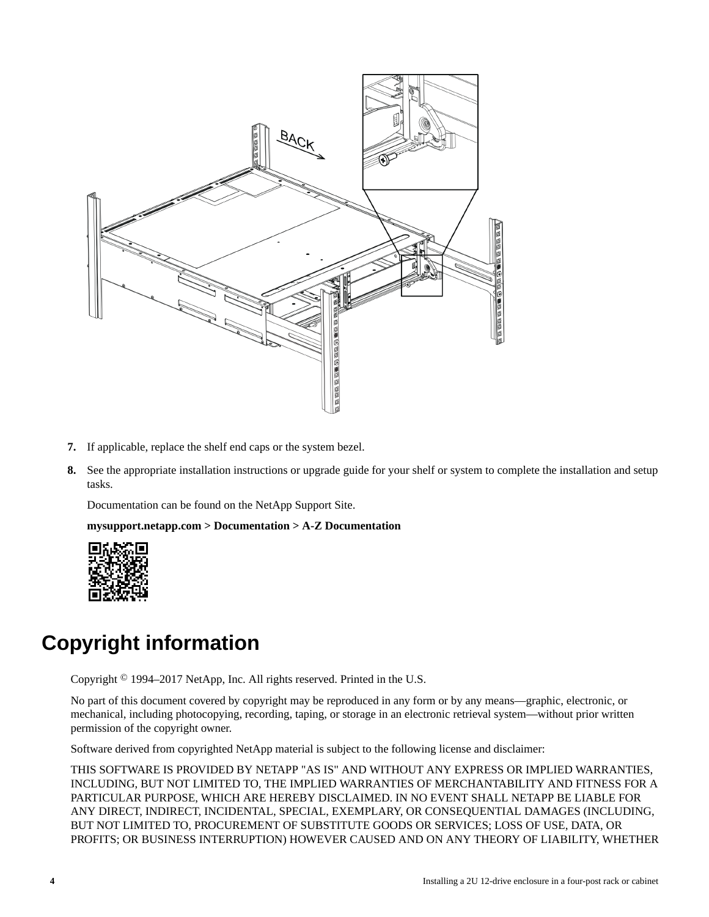

- **7.** If applicable, replace the shelf end caps or the system bezel.
- **8.** See the appropriate installation instructions or upgrade guide for your shelf or system to complete the installation and setup tasks.

Documentation can be found on the NetApp Support Site.

**mysupport.netapp.com > Documentation > A-Z Documentation**



## **Copyright information**

Copyright © 1994–2017 NetApp, Inc. All rights reserved. Printed in the U.S.

No part of this document covered by copyright may be reproduced in any form or by any means—graphic, electronic, or mechanical, including photocopying, recording, taping, or storage in an electronic retrieval system—without prior written permission of the copyright owner.

Software derived from copyrighted NetApp material is subject to the following license and disclaimer:

THIS SOFTWARE IS PROVIDED BY NETAPP "AS IS" AND WITHOUT ANY EXPRESS OR IMPLIED WARRANTIES, INCLUDING, BUT NOT LIMITED TO, THE IMPLIED WARRANTIES OF MERCHANTABILITY AND FITNESS FOR A PARTICULAR PURPOSE, WHICH ARE HEREBY DISCLAIMED. IN NO EVENT SHALL NETAPP BE LIABLE FOR ANY DIRECT, INDIRECT, INCIDENTAL, SPECIAL, EXEMPLARY, OR CONSEQUENTIAL DAMAGES (INCLUDING, BUT NOT LIMITED TO, PROCUREMENT OF SUBSTITUTE GOODS OR SERVICES; LOSS OF USE, DATA, OR PROFITS; OR BUSINESS INTERRUPTION) HOWEVER CAUSED AND ON ANY THEORY OF LIABILITY, WHETHER